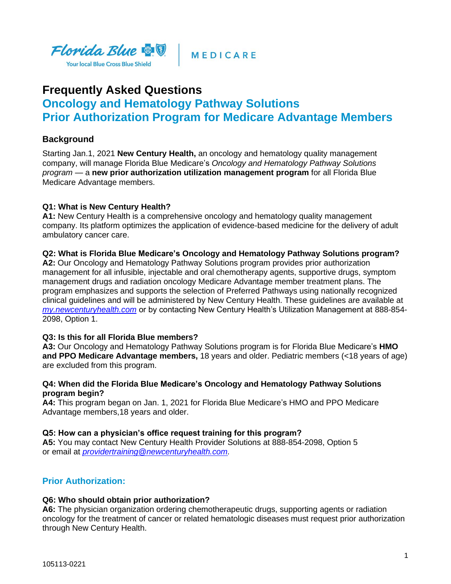

**MEDICARE** 

# **Frequently Asked Questions Oncology and Hematology Pathway Solutions Prior Authorization Program for Medicare Advantage Members**

# **Background**

Starting Jan.1, 2021 **New Century Health,** an oncology and hematology quality management company, will manage Florida Blue Medicare's *Oncology and Hematology Pathway Solutions program* — a **new prior authorization utilization management program** for all Florida Blue Medicare Advantage members.

# **Q1: What is New Century Health?**

**A1:** New Century Health is a comprehensive oncology and hematology quality management company. Its platform optimizes the application of evidence-based medicine for the delivery of adult ambulatory cancer care.

### **Q2: What is Florida Blue Medicare's Oncology and Hematology Pathway Solutions program?**

**A2:** Our Oncology and Hematology Pathway Solutions program provides prior authorization management for all infusible, injectable and oral chemotherapy agents, supportive drugs, symptom management drugs and radiation oncology Medicare Advantage member treatment plans. The program emphasizes and supports the selection of Preferred Pathways using nationally recognized clinical guidelines and will be administered by New Century Health. These guidelines are available at *[my.newcenturyhealth.com](file:///C:/Users/u2r1/AppData/Local/Microsoft/Windows/INetCache/Content.Outlook/C5138BMP/my.newcenturyhealth.com)* or by contacting New Century Health's Utilization Management at 888-854- 2098, Option 1.

### **Q3: Is this for all Florida Blue members?**

**A3:** Our Oncology and Hematology Pathway Solutions program is for Florida Blue Medicare's **HMO and PPO Medicare Advantage members,** 18 years and older. Pediatric members (<18 years of age) are excluded from this program.

### **Q4: When did the Florida Blue Medicare's Oncology and Hematology Pathway Solutions program begin?**

**A4:** This program began on Jan. 1, 2021 for Florida Blue Medicare's HMO and PPO Medicare Advantage members,18 years and older.

### **Q5: How can a physician's office request training for this program?**

**A5:** You may contact New Century Health Provider Solutions at 888-854-2098, Option 5 or email at *[providertraining@newcenturyhealth.com.](mailto:providertraining@newcenturyhealth.com)*

# **Prior Authorization:**

### **Q6: Who should obtain prior authorization?**

**A6:** The physician organization ordering chemotherapeutic drugs, supporting agents or radiation oncology for the treatment of cancer or related hematologic diseases must request prior authorization through New Century Health.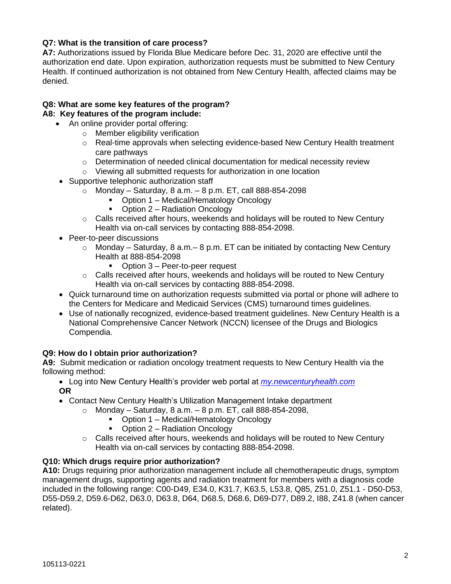# **Q7: What is the transition of care process?**

**A7:** Authorizations issued by Florida Blue Medicare before Dec. 31, 2020 are effective until the authorization end date. Upon expiration, authorization requests must be submitted to New Century Health. If continued authorization is not obtained from New Century Health, affected claims may be denied.

# **Q8: What are some key features of the program?**

### **A8: Key features of the program include:**

- An online provider portal offering:
	- o Member eligibility verification
	- $\circ$  Real-time approvals when selecting evidence-based New Century Health treatment care pathways
	- o Determination of needed clinical documentation for medical necessity review
	- o Viewing all submitted requests for authorization in one location
	- Supportive telephonic authorization staff
		- $\circ$  Monday Saturday, 8 a.m. 8 p.m. ET, call 888-854-2098
			- Option 1 Medical/Hematology Oncology
			- Option 2 Radiation Oncology
			- $\circ$  Calls received after hours, weekends and holidays will be routed to New Century Health via on-call services by contacting 888-854-2098.
	- Peer-to-peer discussions
		- $\circ$  Monday Saturday, 8 a.m. 8 p.m. ET can be initiated by contacting New Century Health at 888-854-2098
			- Option 3 Peer-to-peer request
		- $\circ$  Calls received after hours, weekends and holidays will be routed to New Century Health via on-call services by contacting 888-854-2098.
	- Quick turnaround time on authorization requests submitted via portal or phone will adhere to the Centers for Medicare and Medicaid Services (CMS) turnaround times guidelines.
	- Use of nationally recognized, evidence-based treatment guidelines. New Century Health is a National Comprehensive Cancer Network (NCCN) licensee of the Drugs and Biologics Compendia.

### **Q9: How do I obtain prior authorization?**

**A9:** Submit medication or radiation oncology treatment requests to New Century Health via the following method:

- Log into New Century Health's provider web portal at *[my.newcenturyhealth.com](https://my.newcenturyhealth.com/)* **OR**
- Contact New Century Health's Utilization Management Intake department
	- $\circ$  Monday Saturday, 8 a.m. 8 p.m. ET, call 888-854-2098,
		- Option 1 Medical/Hematology Oncology
		- Option 2 Radiation Oncology
	- $\circ$  Calls received after hours, weekends and holidays will be routed to New Century Health via on-call services by contacting 888-854-2098.

# **Q10: Which drugs require prior authorization?**

**A10:** Drugs requiring prior authorization management include all chemotherapeutic drugs, symptom management drugs, supporting agents and radiation treatment for members with a diagnosis code included in the following range: C00-D49, E34.0, K31.7, K63.5, L53.8, Q85, Z51.0, Z51.1 - D50-D53, D55-D59.2, D59.6-D62, D63.0, D63.8, D64, D68.5, D68.6, D69-D77, D89.2, I88, Z41.8 (when cancer related).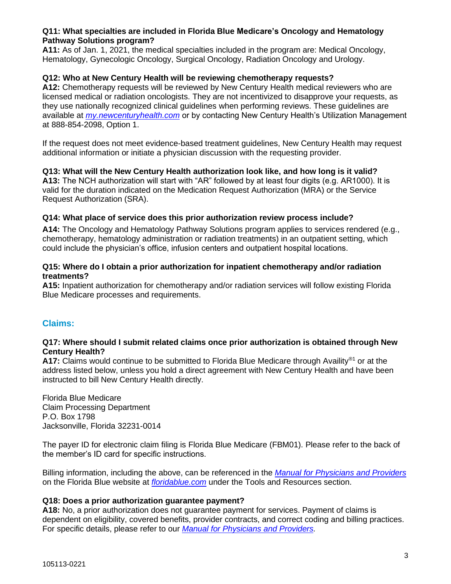### **Q11: What specialties are included in Florida Blue Medicare's Oncology and Hematology Pathway Solutions program?**

**A11:** As of Jan. 1, 2021, the medical specialties included in the program are: Medical Oncology, Hematology, Gynecologic Oncology, Surgical Oncology, Radiation Oncology and Urology.

### **Q12: Who at New Century Health will be reviewing chemotherapy requests?**

**A12:** Chemotherapy requests will be reviewed by New Century Health medical reviewers who are licensed medical or radiation oncologists. They are not incentivized to disapprove your requests, as they use nationally recognized clinical guidelines when performing reviews. These guidelines are available at *[my.newcenturyhealth.com](https://my.newcenturyhealth.com/)* or by contacting New Century Health's Utilization Management at 888-854-2098, Option 1.

If the request does not meet evidence-based treatment guidelines, New Century Health may request additional information or initiate a physician discussion with the requesting provider.

#### **Q13: What will the New Century Health authorization look like, and how long is it valid?**

**A13:** The NCH authorization will start with "AR" followed by at least four digits (e.g. AR1000). It is valid for the duration indicated on the Medication Request Authorization (MRA) or the Service Request Authorization (SRA).

### **Q14: What place of service does this prior authorization review process include?**

**A14:** The Oncology and Hematology Pathway Solutions program applies to services rendered (e.g., chemotherapy, hematology administration or radiation treatments) in an outpatient setting, which could include the physician's office, infusion centers and outpatient hospital locations.

#### **Q15: Where do I obtain a prior authorization for inpatient chemotherapy and/or radiation treatments?**

**A15:** Inpatient authorization for chemotherapy and/or radiation services will follow existing Florida Blue Medicare processes and requirements.

### **Claims:**

#### **Q17: Where should I submit related claims once prior authorization is obtained through New Century Health?**

A17: Claims would continue to be submitted to Florida Blue Medicare through Availity<sup>®1</sup> or at the address listed below, unless you hold a direct agreement with New Century Health and have been instructed to bill New Century Health directly.

Florida Blue Medicare Claim Processing Department P.O. Box 1798 Jacksonville, Florida 32231-0014

The payer ID for electronic claim filing is Florida Blue Medicare (FBM01). Please refer to the back of the member's ID card for specific instructions.

Billing information, including the above, can be referenced in the *[Manual for Physicians and Providers](https://www.floridablue.com/providers/tools-resources/provider-manual)* on the Florida Blue website at *[floridablue.com](file:///C:/Users/j5x7/AppData/Local/Microsoft/Windows/INetCache/Content.Outlook/89RFDBU3/floridablue.com)* under the Tools and Resources section.

#### **Q18: Does a prior authorization guarantee payment?**

**A18:** No, a prior authorization does not guarantee payment for services. Payment of claims is dependent on eligibility, covered benefits, provider contracts, and correct coding and billing practices. For specific details, please refer to our *[Manual for Physicians and Providers.](https://www.floridablue.com/providers/tools-resources/provider-manual)*